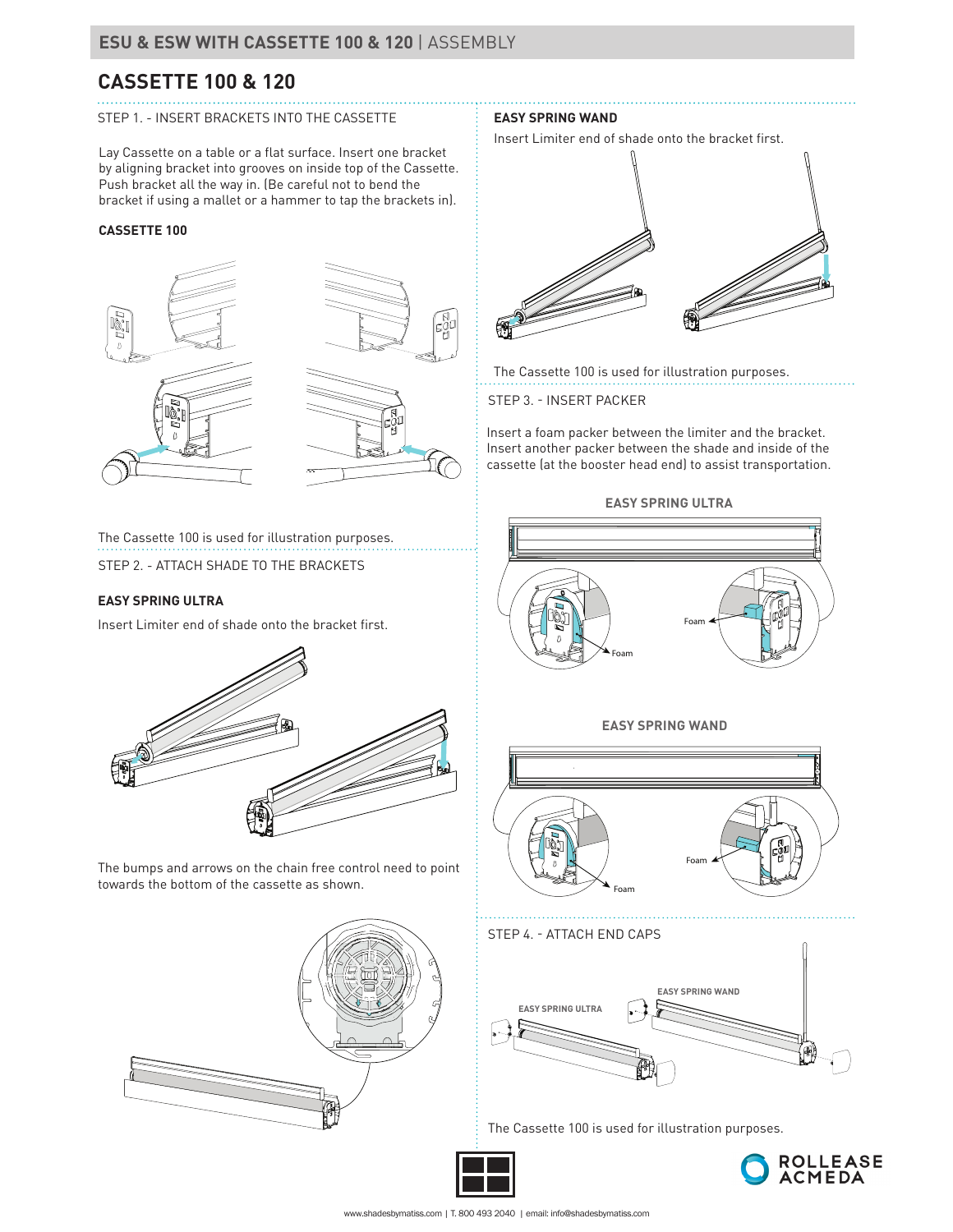# **CASSETTE 100 & 120**

### STEP 1. - INSERT BRACKETS INTO THE CASSETTE

Lay Cassette on a table or a flat surface. Insert one bracket by aligning bracket into grooves on inside top of the Cassette. Push bracket all the way in. (Be careful not to bend the bracket if using a mallet or a hammer to tap the brackets in).

### **CASSETTE 100**





### **EASY SPRING WAND**

Insert Limiter end of shade onto the bracket first.



The Cassette 100 is used for illustration purposes.

STEP 3. - INSERT PACKER

Insert a foam packer between the limiter and the bracket. Insert another packer between the shade and inside of the cassette (at the booster head end) to assist transportation.

STEP 2. - ATTACH SHADE TO THE BRACKETS The Cassette 100 is used for illustration purposes.

### **EASY SPRING ULTRA**

Insert Limiter end of shade onto the bracket first.



The bumps and arrows on the chain free control need to point towards the bottom of the cassette as shown.





The Cassette 100 is used for illustration purposes.